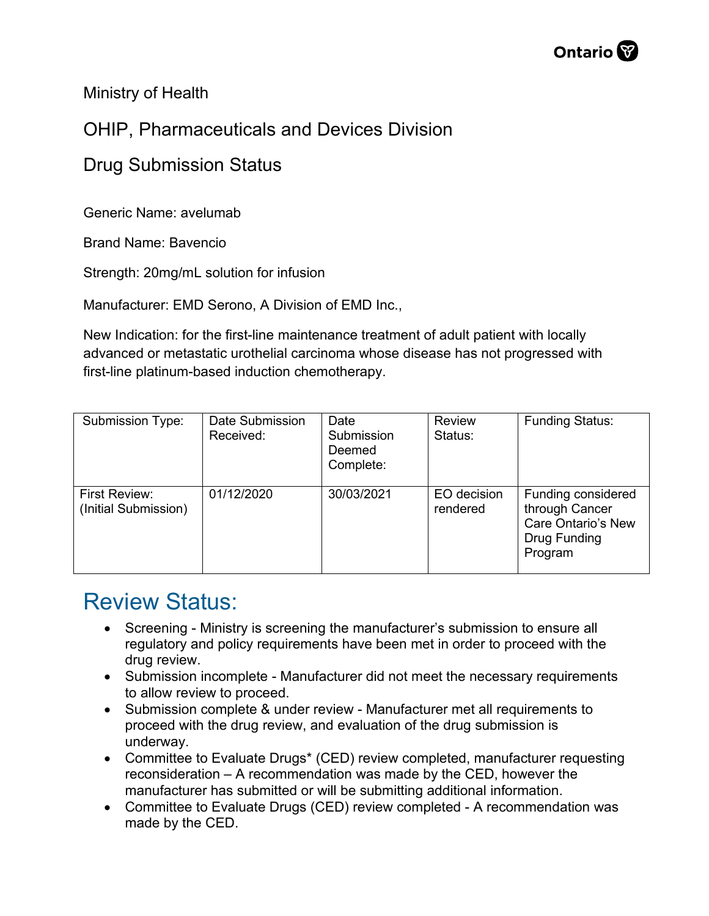Ministry of Health

## OHIP, Pharmaceuticals and Devices Division

## Drug Submission Status

Generic Name: avelumab

Brand Name: Bavencio

Strength: 20mg/mL solution for infusion

Manufacturer: EMD Serono, A Division of EMD Inc.,

New Indication: for the first-line maintenance treatment of adult patient with locally advanced or metastatic urothelial carcinoma whose disease has not progressed with first-line platinum-based induction chemotherapy.

| <b>Submission Type:</b>               | Date Submission<br>Received: | Date<br>Submission<br>Deemed<br>Complete: | <b>Review</b><br>Status: | <b>Funding Status:</b>                                                                |
|---------------------------------------|------------------------------|-------------------------------------------|--------------------------|---------------------------------------------------------------------------------------|
| First Review:<br>(Initial Submission) | 01/12/2020                   | 30/03/2021                                | EO decision<br>rendered  | Funding considered<br>through Cancer<br>Care Ontario's New<br>Drug Funding<br>Program |

## Review Status:

- Screening Ministry is screening the manufacturer's submission to ensure all regulatory and policy requirements have been met in order to proceed with the drug review.
- Submission incomplete Manufacturer did not meet the necessary requirements to allow review to proceed.
- Submission complete & under review Manufacturer met all requirements to proceed with the drug review, and evaluation of the drug submission is underway.
- Committee to Evaluate Drugs\* (CED) review completed, manufacturer requesting reconsideration – A recommendation was made by the CED, however the manufacturer has submitted or will be submitting additional information.
- Committee to Evaluate Drugs (CED) review completed A recommendation was made by the CED.